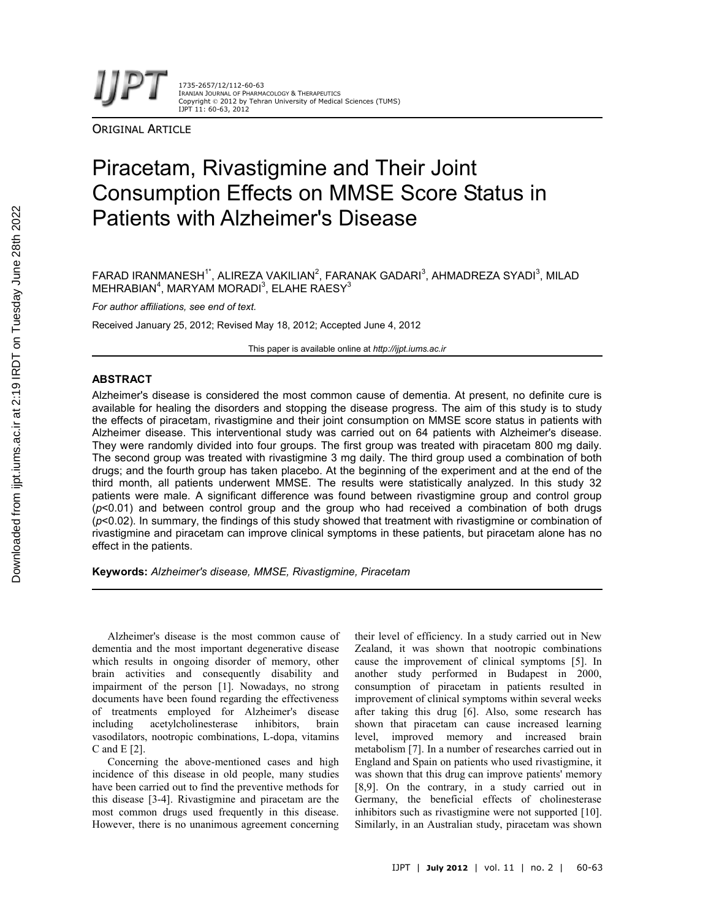1735-2657/12/112-60-63 IRANIAN JOURNAL OF PHARMACOLOGY & THERAPEUTICS Copyright © 2012 by Tehran University of Medical Sciences (TUMS) IJPT 11: 60-63, 2012

**ORIGINAL ARTICLE** 

# Piracetam, Rivastigmine and Their Joint Consumption Effects on MMSE Score Status in Patients with Alzheimer's Disease

 $\mathsf F$ ARAD IRANMANESH $^{\mathsf t}$ ', ALIREZA VAKILIAN $^{\mathsf 2}$ , FARANAK GADARI $^{\mathsf 3}$ , AHMADREZA SYADI $^{\mathsf 3}$ , MILAD MEHRABIAN $^4$ , MARYAM MORADI $^3$ , ELAHE RAESY $^3$ 

*For author affiliations, see end of text.*

Received January 25, 2012; Revised May 18, 2012; Accepted June 4, 2012

This paper is available online at *http://ijpt.iums.ac.ir*

# **ABSTRACT**

Alzheimer's disease is considered the most common cause of dementia. At present, no definite cure is available for healing the disorders and stopping the disease progress. The aim of this study is to study the effects of piracetam, rivastigmine and their joint consumption on MMSE score status in patients with Alzheimer disease. This interventional study was carried out on 64 patients with Alzheimer's disease. They were randomly divided into four groups. The first group was treated with piracetam 800 mg daily. The second group was treated with rivastigmine 3 mg daily. The third group used a combination of both drugs; and the fourth group has taken placebo. At the beginning of the experiment and at the end of the third month, all patients underwent MMSE. The results were statistically analyzed. In this study 32 patients were male. A significant difference was found between rivastigmine group and control group (*p*<0.01) and between control group and the group who had received a combination of both drugs (*p*<0.02). In summary, the findings of this study showed that treatment with rivastigmine or combination of rivastigmine and piracetam can improve clinical symptoms in these patients, but piracetam alone has no effect in the patients.

**Keywords:** *Alzheimer's disease, MMSE, Rivastigmine, Piracetam*

Alzheimer's disease is the most common cause of dementia and the most important degenerative disease which results in ongoing disorder of memory, other brain activities and consequently disability and impairment of the person [1]. Nowadays, no strong documents have been found regarding the effectiveness of treatments employed for Alzheimer's disease<br>including acetylcholinesterase inhibitors, brain including acetylcholinesterase inhibitors, vasodilators, nootropic combinations, L-dopa, vitamins C and E [2].

Concerning the above-mentioned cases and high incidence of this disease in old people, many studies have been carried out to find the preventive methods for this disease [3-4]. Rivastigmine and piracetam are the most common drugs used frequently in this disease. However, there is no unanimous agreement concerning

their level of efficiency. In a study carried out in New Zealand, it was shown that nootropic combinations cause the improvement of clinical symptoms [5]. In another study performed in Budapest in 2000, consumption of piracetam in patients resulted in improvement of clinical symptoms within several weeks after taking this drug [6]. Also, some research has shown that piracetam can cause increased learning level, improved memory and increased brain metabolism [7]. In a number of researches carried out in England and Spain on patients who used rivastigmine, it was shown that this drug can improve patients' memory [8,9]. On the contrary, in a study carried out in Germany, the beneficial effects of cholinesterase inhibitors such as rivastigmine were not supported [10]. Similarly, in an Australian study, piracetam was shown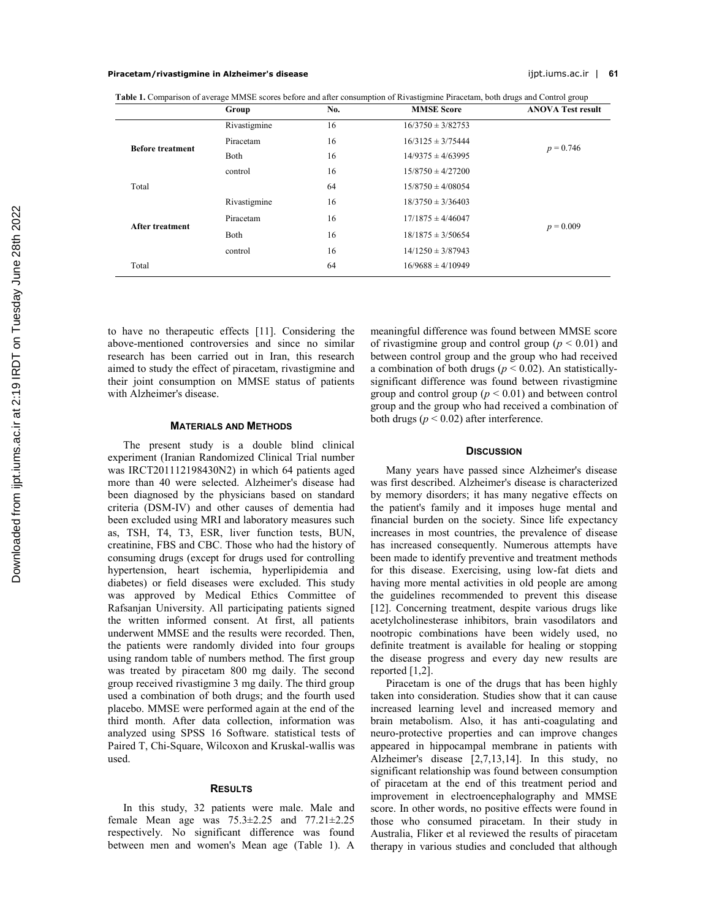## **Piracetam/rivastigmine in Alzheimer's disease** ijpt.iums.ac.ir | **61**

**Table 1.** Comparison of average MMSE scores before and after consumption of Rivastigmine Piracetam, both drugs and Control group

|                         | Group        | No. | <b>MMSE</b> Score     | <b>ANOVA Test result</b> |
|-------------------------|--------------|-----|-----------------------|--------------------------|
| <b>Before treatment</b> | Rivastigmine | 16  | $16/3750 \pm 3/82753$ | $p = 0.746$              |
|                         | Piracetam    | 16  | $16/3125 \pm 3/75444$ |                          |
|                         | Both         | 16  | $14/9375 \pm 4/63995$ |                          |
|                         | control      | 16  | $15/8750 \pm 4/27200$ |                          |
| Total                   |              | 64  | $15/8750 \pm 4/08054$ |                          |
| <b>After treatment</b>  | Rivastigmine | 16  | $18/3750 \pm 3/36403$ | $p = 0.009$              |
|                         | Piracetam    | 16  | $17/1875 \pm 4/46047$ |                          |
|                         | Both         | 16  | $18/1875 \pm 3/50654$ |                          |
|                         | control      | 16  | $14/1250 \pm 3/87943$ |                          |
| Total                   |              | 64  | $16/9688 \pm 4/10949$ |                          |

to have no therapeutic effects [11]. Considering the above-mentioned controversies and since no similar research has been carried out in Iran, this research aimed to study the effect of piracetam, rivastigmine and their joint consumption on MMSE status of patients with Alzheimer's disease.

#### **MATERIALS AND METHODS**

The present study is a double blind clinical experiment (Iranian Randomized Clinical Trial number was IRCT201112198430N2) in which 64 patients aged more than 40 were selected. Alzheimer's disease had been diagnosed by the physicians based on standard criteria (DSM-IV) and other causes of dementia had been excluded using MRI and laboratory measures such as, TSH, T4, T3, ESR, liver function tests, BUN, creatinine, FBS and CBC. Those who had the history of consuming drugs (except for drugs used for controlling hypertension, heart ischemia, hyperlipidemia and diabetes) or field diseases were excluded. This study was approved by Medical Ethics Committee of Rafsanjan University. All participating patients signed the written informed consent. At first, all patients underwent MMSE and the results were recorded. Then, the patients were randomly divided into four groups using random table of numbers method. The first group was treated by piracetam 800 mg daily. The second group received rivastigmine 3 mg daily. The third group used a combination of both drugs; and the fourth used placebo. MMSE were performed again at the end of the third month. After data collection, information was analyzed using SPSS 16 Software. statistical tests of Paired T, Chi-Square, Wilcoxon and Kruskal-wallis was used.

#### **RESULTS**

In this study, 32 patients were male. Male and female Mean age was 75.3±2.25 and 77.21±2.25 respectively. No significant difference was found between men and women's Mean age (Table 1). A meaningful difference was found between MMSE score of rivastigmine group and control group ( $p < 0.01$ ) and between control group and the group who had received a combination of both drugs ( $p < 0.02$ ). An statisticallysignificant difference was found between rivastigmine group and control group  $(p < 0.01)$  and between control group and the group who had received a combination of both drugs ( $p < 0.02$ ) after interference.

## **DISCUSSION**

Many years have passed since Alzheimer's disease was first described. Alzheimer's disease is characterized by memory disorders; it has many negative effects on the patient's family and it imposes huge mental and financial burden on the society. Since life expectancy increases in most countries, the prevalence of disease has increased consequently. Numerous attempts have been made to identify preventive and treatment methods for this disease. Exercising, using low-fat diets and having more mental activities in old people are among the guidelines recommended to prevent this disease [12]. Concerning treatment, despite various drugs like acetylcholinesterase inhibitors, brain vasodilators and nootropic combinations have been widely used, no definite treatment is available for healing or stopping the disease progress and every day new results are reported [1,2].

Piracetam is one of the drugs that has been highly taken into consideration. Studies show that it can cause increased learning level and increased memory and brain metabolism. Also, it has anti-coagulating and neuro-protective properties and can improve changes appeared in hippocampal membrane in patients with Alzheimer's disease [2,7,13,14]. In this study, no significant relationship was found between consumption of piracetam at the end of this treatment period and improvement in electroencephalography and MMSE score. In other words, no positive effects were found in those who consumed piracetam. In their study in Australia, Fliker et al reviewed the results of piracetam therapy in various studies and concluded that although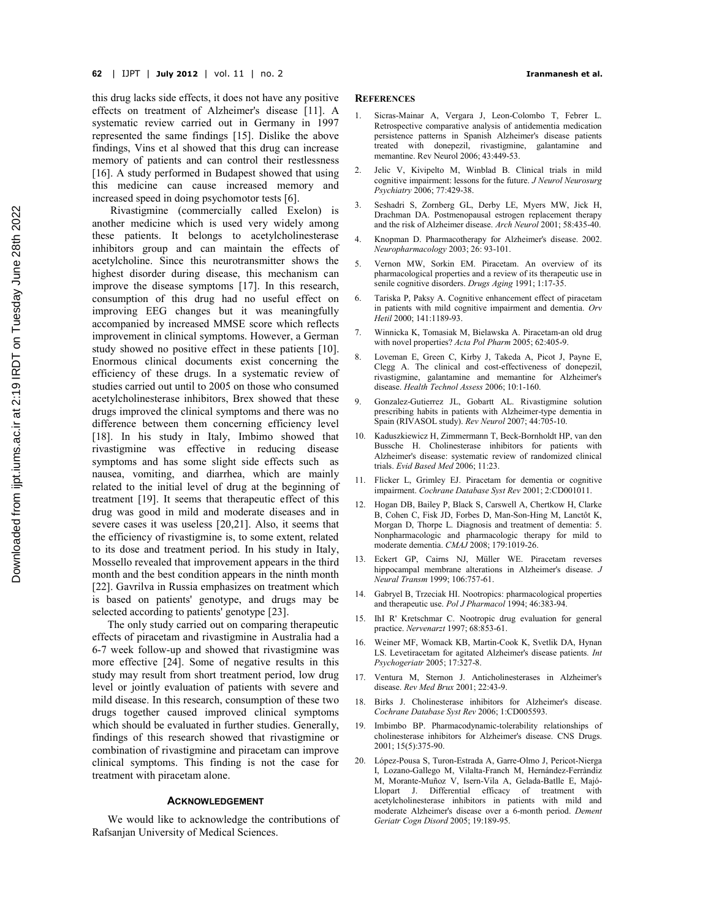this drug lacks side effects, it does not have any positive effects on treatment of Alzheimer's disease [11]. A systematic review carried out in Germany in 1997 represented the same findings [15]. Dislike the above findings, Vins et al showed that this drug can increase memory of patients and can control their restlessness [16]. A study performed in Budapest showed that using this medicine can cause increased memory and increased speed in doing psychomotor tests [6].

Rivastigmine (commercially called Exelon) is another medicine which is used very widely among these patients. It belongs to acetylcholinesterase inhibitors group and can maintain the effects of acetylcholine. Since this neurotransmitter shows the highest disorder during disease, this mechanism can improve the disease symptoms [17]. In this research, consumption of this drug had no useful effect on improving EEG changes but it was meaningfully accompanied by increased MMSE score which reflects improvement in clinical symptoms. However, a German study showed no positive effect in these patients [10]. Enormous clinical documents exist concerning the efficiency of these drugs. In a systematic review of studies carried out until to 2005 on those who consumed acetylcholinesterase inhibitors, Brex showed that these drugs improved the clinical symptoms and there was no difference between them concerning efficiency level [18]. In his study in Italy, Imbimo showed that rivastigmine was effective in reducing disease symptoms and has some slight side effects such as nausea, vomiting, and diarrhea, which are mainly related to the initial level of drug at the beginning of treatment [19]. It seems that therapeutic effect of this drug was good in mild and moderate diseases and in severe cases it was useless [20,21]. Also, it seems that the efficiency of rivastigmine is, to some extent, related to its dose and treatment period. In his study in Italy, Mossello revealed that improvement appears in the third month and the best condition appears in the ninth month [22]. Gavrilva in Russia emphasizes on treatment which is based on patients' genotype, and drugs may be selected according to patients' genotype [23].

The only study carried out on comparing therapeutic effects of piracetam and rivastigmine in Australia had a 6-7 week follow-up and showed that rivastigmine was more effective [24]. Some of negative results in this study may result from short treatment period, low drug level or jointly evaluation of patients with severe and mild disease. In this research, consumption of these two drugs together caused improved clinical symptoms which should be evaluated in further studies. Generally, findings of this research showed that rivastigmine or combination of rivastigmine and piracetam can improve clinical symptoms. This finding is not the case for treatment with piracetam alone.

## **ACKNOWLEDGEMENT**

We would like to acknowledge the contributions of Rafsanjan University of Medical Sciences.

#### **REFERENCES**

- 1. Sicras-Mainar A, Vergara J, Leon-Colombo T, Febrer L. Retrospective comparative analysis of antidementia medication persistence patterns in Spanish Alzheimer's disease patients treated with donepezil, rivastigmine, galantamine and memantine. Rev Neurol 2006; 43:449-53.
- 2. Jelic V, Kivipelto M, Winblad B. Clinical trials in mild cognitive impairment: lessons for the future. *J Neurol Neurosurg Psychiatry* 2006; 77:429-38.
- 3. Seshadri S, Zornberg GL, Derby LE, Myers MW, Jick H, Drachman DA. Postmenopausal estrogen replacement therapy and the risk of Alzheimer disease. *Arch Neurol* 2001; 58:435-40.
- 4. Knopman D. Pharmacotherapy for Alzheimer's disease. 2002. *Neuropharmacology* 2003; 26: 93-101.
- 5. Vernon MW, Sorkin EM. Piracetam. An overview of its pharmacological properties and a review of its therapeutic use in senile cognitive disorders. *Drugs Aging* 1991; 1:17-35.
- 6. Tariska P, Paksy A. Cognitive enhancement effect of piracetam in patients with mild cognitive impairment and dementia. *Orv Hetil* 2000; 141:1189-93.
- 7. Winnicka K, Tomasiak M, Bielawska A. Piracetam-an old drug with novel properties? *Acta Pol Pharm* 2005; 62:405-9.
- 8. Loveman E, Green C, Kirby J, Takeda A, Picot J, Payne E, Clegg A. The clinical and cost-effectiveness of donepezil, rivastigmine, galantamine and memantine for Alzheimer's disease. *Health Technol Assess* 2006; 10:1-160.
- 9. Gonzalez-Gutierrez JL, Gobartt AL. Rivastigmine solution prescribing habits in patients with Alzheimer-type dementia in Spain (RIVASOL study). *Rev Neurol* 2007; 44:705-10.
- 10. Kaduszkiewicz H, Zimmermann T, Beck-Bornholdt HP, van den Bussche H. Cholinesterase inhibitors for patients with Alzheimer's disease: systematic review of randomized clinical trials. *Evid Based Med* 2006; 11:23.
- 11. Flicker L, Grimley EJ. Piracetam for dementia or cognitive impairment. *Cochrane Database Syst Rev* 2001; 2:CD001011.
- 12. Hogan DB, Bailey P, Black S, Carswell A, Chertkow H, Clarke B, Cohen C, Fisk JD, Forbes D, Man-Son-Hing M, Lanctôt K, Morgan D, Thorpe L. Diagnosis and treatment of dementia: 5. Nonpharmacologic and pharmacologic therapy for mild to moderate dementia. *CMAJ* 2008; 179:1019-26.
- 13. Eckert GP, Cairns NJ, Müller WE. Piracetam reverses hippocampal membrane alterations in Alzheimer's disease. *J Neural Transm* 1999; 106:757-61.
- 14. Gabryel B, Trzeciak HI. Nootropics: pharmacological properties and therapeutic use. *Pol J Pharmacol* 1994; 46:383-94.
- IhI R' Kretschmar C. Nootropic drug evaluation for general practice. *Nervenarzt* 1997; 68:853-61.
- 16. Weiner MF, Womack KB, Martin-Cook K, Svetlik DA, Hynan LS. Levetiracetam for agitated Alzheimer's disease patients*. Int Psychogeriatr* 2005; 17:327-8.
- 17. Ventura M, Sternon J. Anticholinesterases in Alzheimer's disease. *Rev Med Brux* 2001; 22:43-9.
- 18. Birks J. Cholinesterase inhibitors for Alzheimer's disease. *Cochrane Database Syst Rev* 2006; 1:CD005593.
- 19. Imbimbo BP. Pharmacodynamic-tolerability relationships of cholinesterase inhibitors for Alzheimer's disease. CNS Drugs. 2001; 15(5):375-90.
- 20. López-Pousa S, Turon-Estrada A, Garre-Olmo J, Pericot-Nierga I, Lozano-Gallego M, Vilalta-Franch M, Hernández-Ferràndiz M, Morante-Muñoz V, Isern-Vila A, Gelada-Batlle E, Majó-Llopart J. Differential efficacy of treatment with acetylcholinesterase inhibitors in patients with mild and moderate Alzheimer's disease over a 6-month period. *Dement Geriatr Cogn Disord* 2005; 19:189-95.